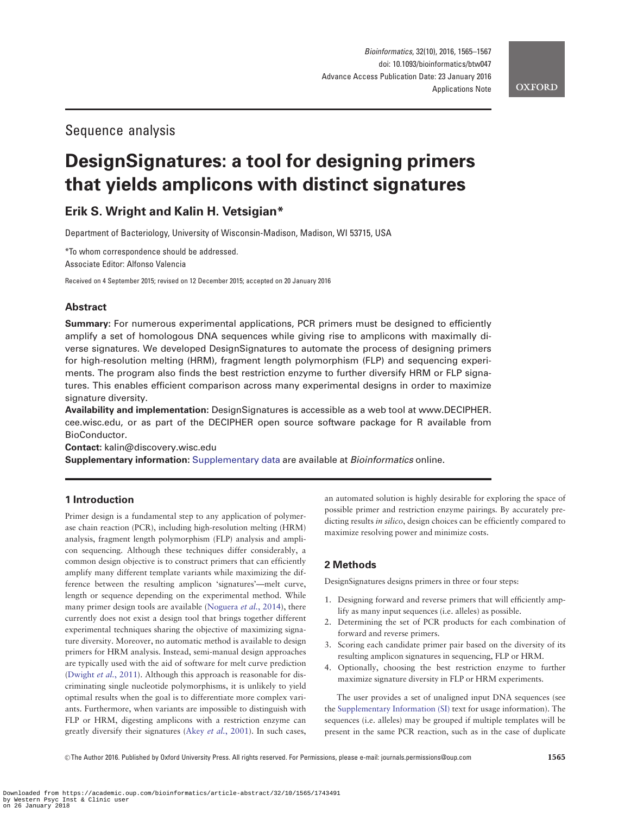# Sequence analysis

# DesignSignatures: a tool for designing primers that yields amplicons with distinct signatures

# Erik S. Wright and Kalin H. Vetsigian\*

Department of Bacteriology, University of Wisconsin-Madison, Madison, WI 53715, USA

\*To whom correspondence should be addressed. Associate Editor: Alfonso Valencia

Received on 4 September 2015; revised on 12 December 2015; accepted on 20 January 2016

## Abstract

Summary: For numerous experimental applications, PCR primers must be designed to efficiently amplify a set of homologous DNA sequences while giving rise to amplicons with maximally diverse signatures. We developed DesignSignatures to automate the process of designing primers for high-resolution melting (HRM), fragment length polymorphism (FLP) and sequencing experiments. The program also finds the best restriction enzyme to further diversify HRM or FLP signatures. This enables efficient comparison across many experimental designs in order to maximize signature diversity.

Availability and implementation: DesignSignatures is accessible as a web tool at [www.DECIPHER.](http://www.DECIPHER.cee.wisc.edu) [cee.wisc.edu](http://www.DECIPHER.cee.wisc.edu), or as part of the DECIPHER open source software package for R available from BioConductor.

Contact: kalin@discovery.wisc.edu

Supplementary information: [Supplementary data](http://bioinformatics.oxfordjournals.org/lookup/suppl/doi:10.1093/bioinformatics/btw047/-/DC1) are available at Bioinformatics online.

## 1 Introduction

Primer design is a fundamental step to any application of polymerase chain reaction (PCR), including high-resolution melting (HRM) analysis, fragment length polymorphism (FLP) analysis and amplicon sequencing. Although these techniques differ considerably, a common design objective is to construct primers that can efficiently amplify many different template variants while maximizing the difference between the resulting amplicon 'signatures'—melt curve, length or sequence depending on the experimental method. While many primer design tools are available [\(Noguera](#page-2-0) et al., 2014), there currently does not exist a design tool that brings together different experimental techniques sharing the objective of maximizing signature diversity. Moreover, no automatic method is available to design primers for HRM analysis. Instead, semi-manual design approaches are typically used with the aid of software for melt curve prediction ([Dwight](#page-2-0) et al., 2011). Although this approach is reasonable for discriminating single nucleotide polymorphisms, it is unlikely to yield optimal results when the goal is to differentiate more complex variants. Furthermore, when variants are impossible to distinguish with FLP or HRM, digesting amplicons with a restriction enzyme can greatly diversify their signatures (Akey et al.[, 2001\)](#page-1-0). In such cases,

an automated solution is highly desirable for exploring the space of possible primer and restriction enzyme pairings. By accurately predicting results in silico, design choices can be efficiently compared to maximize resolving power and minimize costs.

## 2 Methods

DesignSignatures designs primers in three or four steps:

- 1. Designing forward and reverse primers that will efficiently amplify as many input sequences (i.e. alleles) as possible.
- 2. Determining the set of PCR products for each combination of forward and reverse primers.
- 3. Scoring each candidate primer pair based on the diversity of its resulting amplicon signatures in sequencing, FLP or HRM.
- 4. Optionally, choosing the best restriction enzyme to further maximize signature diversity in FLP or HRM experiments.

The user provides a set of unaligned input DNA sequences (see the [Supplementary Information \(SI\)](http://bioinformatics.oxfordjournals.org/lookup/suppl/doi:10.1093/bioinformatics/btw047/-/DC1) text for usage information). The sequences (i.e. alleles) may be grouped if multiple templates will be present in the same PCR reaction, such as in the case of duplicate

 $\oslash$  The Author 2016. Published by Oxford University Press. All rights reserved. For Permissions, please e-mail: journals.permissions@oup.com 1565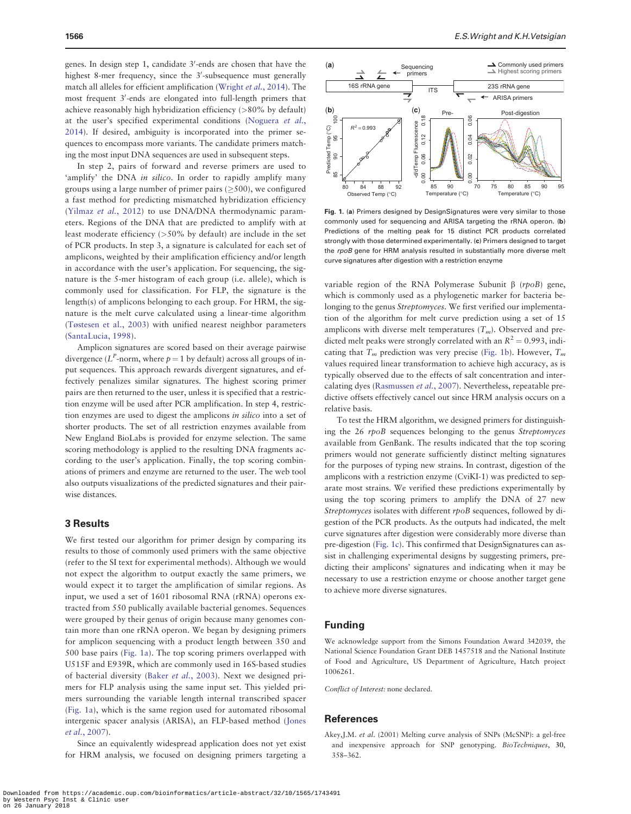<span id="page-1-0"></span>genes. In design step 1, candidate 3'-ends are chosen that have the highest 8-mer frequency, since the 3'-subsequence must generally match all alleles for efficient amplification ([Wright](#page-2-0) et al., 2014). The most frequent 3'-ends are elongated into full-length primers that achieve reasonably high hybridization efficiency (>80% by default) at the user's specified experimental conditions ([Noguera](#page-2-0) et al., [2014\)](#page-2-0). If desired, ambiguity is incorporated into the primer sequences to encompass more variants. The candidate primers matching the most input DNA sequences are used in subsequent steps.

In step 2, pairs of forward and reverse primers are used to 'amplify' the DNA in silico. In order to rapidly amplify many groups using a large number of primer pairs ( $\geq$ 500), we configured a fast method for predicting mismatched hybridization efficiency ([Yilmaz](#page-2-0) et al., 2012) to use DNA/DNA thermodynamic parameters. Regions of the DNA that are predicted to amplify with at least moderate efficiency (>50% by default) are include in the set of PCR products. In step 3, a signature is calculated for each set of amplicons, weighted by their amplification efficiency and/or length in accordance with the user's application. For sequencing, the signature is the 5-mer histogram of each group (i.e. allele), which is commonly used for classification. For FLP, the signature is the length(s) of amplicons belonging to each group. For HRM, the signature is the melt curve calculated using a linear-time algorithm ([Tøstesen et al., 2003](#page-2-0)) with unified nearest neighbor parameters ([SantaLucia, 1998](#page-2-0)).

Amplicon signatures are scored based on their average pairwise divergence ( $L^P$ -norm, where  $p = 1$  by default) across all groups of input sequences. This approach rewards divergent signatures, and effectively penalizes similar signatures. The highest scoring primer pairs are then returned to the user, unless it is specified that a restriction enzyme will be used after PCR amplification. In step 4, restriction enzymes are used to digest the amplicons in silico into a set of shorter products. The set of all restriction enzymes available from New England BioLabs is provided for enzyme selection. The same scoring methodology is applied to the resulting DNA fragments according to the user's application. Finally, the top scoring combinations of primers and enzyme are returned to the user. The web tool also outputs visualizations of the predicted signatures and their pairwise distances.

#### 3 Results

We first tested our algorithm for primer design by comparing its results to those of commonly used primers with the same objective (refer to the SI text for experimental methods). Although we would not expect the algorithm to output exactly the same primers, we would expect it to target the amplification of similar regions. As input, we used a set of 1601 ribosomal RNA (rRNA) operons extracted from 550 publically available bacterial genomes. Sequences were grouped by their genus of origin because many genomes contain more than one rRNA operon. We began by designing primers for amplicon sequencing with a product length between 350 and 500 base pairs (Fig. 1a). The top scoring primers overlapped with U515F and E939R, which are commonly used in 16S-based studies of bacterial diversity (Baker et al.[, 2003\)](#page-2-0). Next we designed primers for FLP analysis using the same input set. This yielded primers surrounding the variable length internal transcribed spacer (Fig. 1a), which is the same region used for automated ribosomal intergenic spacer analysis (ARISA), an FLP-based method [\(Jones](#page-2-0) et al.[, 2007\)](#page-2-0).

Since an equivalently widespread application does not yet exist for HRM analysis, we focused on designing primers targeting a



Fig. 1. (a) Primers designed by DesignSignatures were very similar to those commonly used for sequencing and ARISA targeting the rRNA operon. (b) Predictions of the melting peak for 15 distinct PCR products correlated strongly with those determined experimentally. (c) Primers designed to target the rpoB gene for HRM analysis resulted in substantially more diverse melt curve signatures after digestion with a restriction enzyme

variable region of the RNA Polymerase Subunit  $\beta$  (rpoB) gene, which is commonly used as a phylogenetic marker for bacteria belonging to the genus *Streptomyces*. We first verified our implementation of the algorithm for melt curve prediction using a set of 15 amplicons with diverse melt temperatures  $(T_m)$ . Observed and predicted melt peaks were strongly correlated with an  $R^2 = 0.993$ , indicating that  $T_m$  prediction was very precise (Fig. 1b). However,  $T_m$ values required linear transformation to achieve high accuracy, as is typically observed due to the effects of salt concentration and intercalating dyes [\(Rasmussen](#page-2-0) et al., 2007). Nevertheless, repeatable predictive offsets effectively cancel out since HRM analysis occurs on a relative basis.

To test the HRM algorithm, we designed primers for distinguishing the 26 rpoB sequences belonging to the genus Streptomyces available from GenBank. The results indicated that the top scoring primers would not generate sufficiently distinct melting signatures for the purposes of typing new strains. In contrast, digestion of the amplicons with a restriction enzyme (CviKI-1) was predicted to separate most strains. We verified these predictions experimentally by using the top scoring primers to amplify the DNA of 27 new Streptomyces isolates with different rpoB sequences, followed by digestion of the PCR products. As the outputs had indicated, the melt curve signatures after digestion were considerably more diverse than pre-digestion (Fig. 1c). This confirmed that DesignSignatures can assist in challenging experimental designs by suggesting primers, predicting their amplicons' signatures and indicating when it may be necessary to use a restriction enzyme or choose another target gene to achieve more diverse signatures.

#### Funding

We acknowledge support from the Simons Foundation Award 342039, the National Science Foundation Grant DEB 1457518 and the National Institute of Food and Agriculture, US Department of Agriculture, Hatch project 1006261.

Conflict of Interest: none declared.

#### **References**

Akey,J.M. et al. (2001) Melting curve analysis of SNPs (McSNP): a gel-free and inexpensive approach for SNP genotyping. BioTechniques, 30, 358–362.